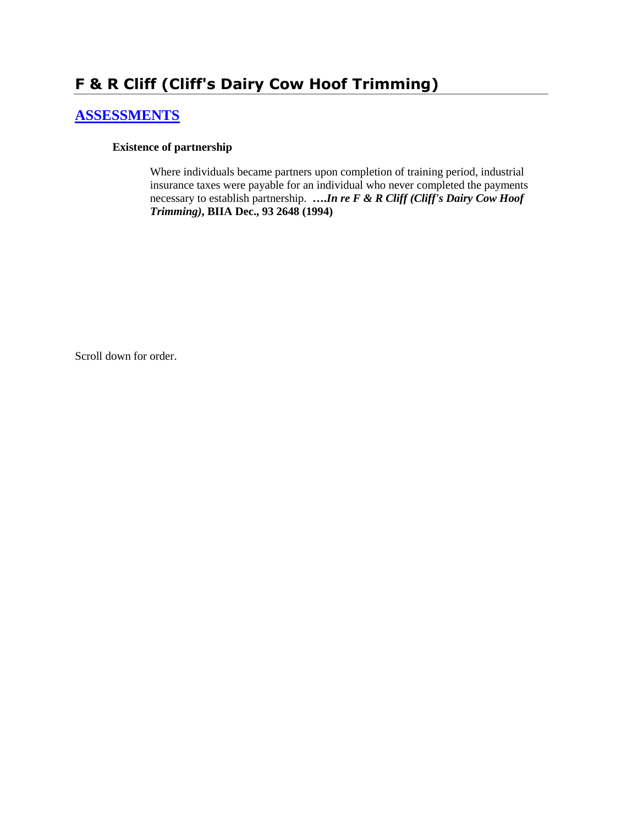# **F & R Cliff (Cliff's Dairy Cow Hoof Trimming)**

# **[ASSESSMENTS](http://www.biia.wa.gov/SDSubjectIndex.html#ASSESSMENTS)**

### **Existence of partnership**

Where individuals became partners upon completion of training period, industrial insurance taxes were payable for an individual who never completed the payments necessary to establish partnership. **….***In re F & R Cliff (Cliff's Dairy Cow Hoof Trimming)***, BIIA Dec., 93 2648 (1994)** 

Scroll down for order.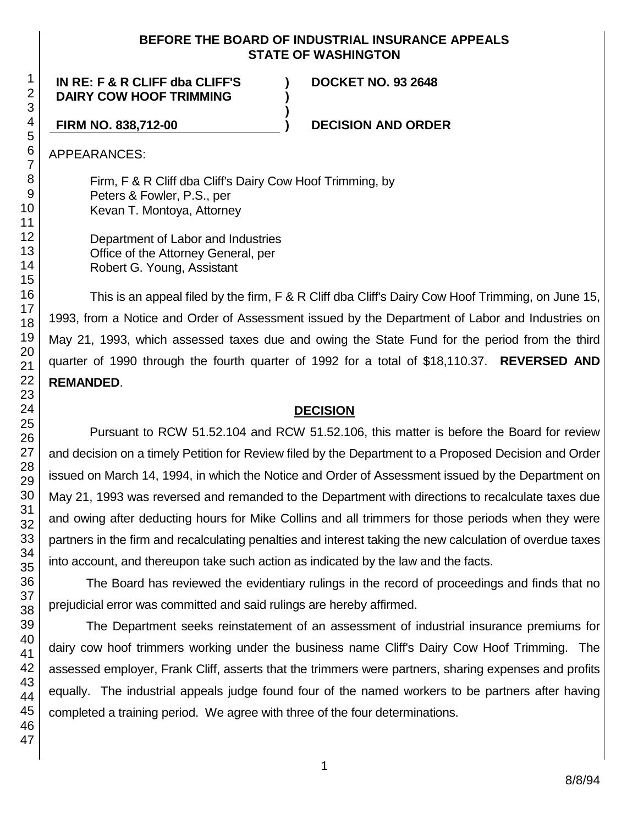### **BEFORE THE BOARD OF INDUSTRIAL INSURANCE APPEALS STATE OF WASHINGTON**

**)**

**IN RE: F & R CLIFF dba CLIFF'S ) DOCKET NO. 93 2648 DAIRY COW HOOF TRIMMING )**

**FIRM NO. 838,712-00 ) DECISION AND ORDER**

APPEARANCES:

Firm, F & R Cliff dba Cliff's Dairy Cow Hoof Trimming, by Peters & Fowler, P.S., per Kevan T. Montoya, Attorney

Department of Labor and Industries Office of the Attorney General, per Robert G. Young, Assistant

This is an appeal filed by the firm, F & R Cliff dba Cliff's Dairy Cow Hoof Trimming, on June 15, 1993, from a Notice and Order of Assessment issued by the Department of Labor and Industries on May 21, 1993, which assessed taxes due and owing the State Fund for the period from the third quarter of 1990 through the fourth quarter of 1992 for a total of \$18,110.37. **REVERSED AND REMANDED**.

### **DECISION**

Pursuant to RCW 51.52.104 and RCW 51.52.106, this matter is before the Board for review and decision on a timely Petition for Review filed by the Department to a Proposed Decision and Order issued on March 14, 1994, in which the Notice and Order of Assessment issued by the Department on May 21, 1993 was reversed and remanded to the Department with directions to recalculate taxes due and owing after deducting hours for Mike Collins and all trimmers for those periods when they were partners in the firm and recalculating penalties and interest taking the new calculation of overdue taxes into account, and thereupon take such action as indicated by the law and the facts.

The Board has reviewed the evidentiary rulings in the record of proceedings and finds that no prejudicial error was committed and said rulings are hereby affirmed.

The Department seeks reinstatement of an assessment of industrial insurance premiums for dairy cow hoof trimmers working under the business name Cliff's Dairy Cow Hoof Trimming. The assessed employer, Frank Cliff, asserts that the trimmers were partners, sharing expenses and profits equally. The industrial appeals judge found four of the named workers to be partners after having completed a training period. We agree with three of the four determinations.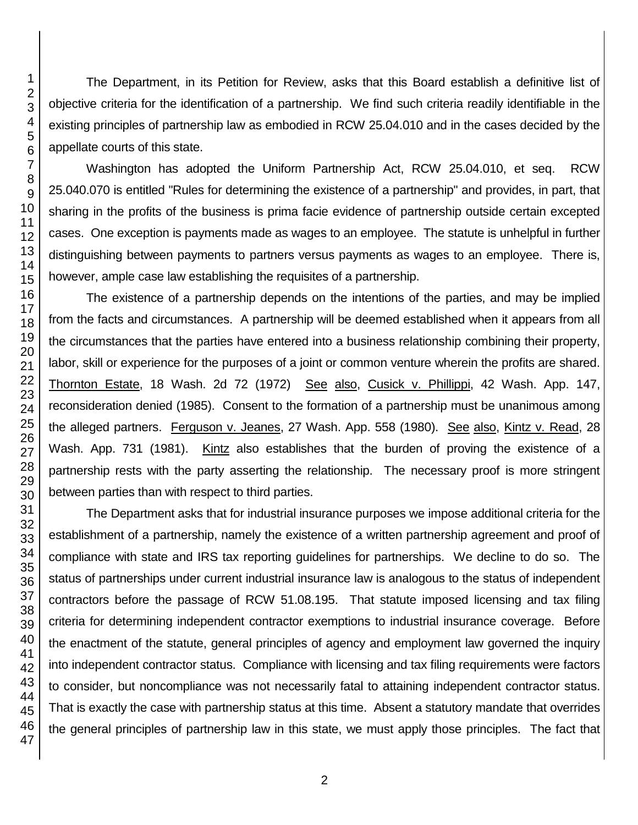The Department, in its Petition for Review, asks that this Board establish a definitive list of objective criteria for the identification of a partnership. We find such criteria readily identifiable in the existing principles of partnership law as embodied in RCW 25.04.010 and in the cases decided by the appellate courts of this state.

Washington has adopted the Uniform Partnership Act, RCW 25.04.010, et seq. RCW 25.040.070 is entitled "Rules for determining the existence of a partnership" and provides, in part, that sharing in the profits of the business is prima facie evidence of partnership outside certain excepted cases. One exception is payments made as wages to an employee. The statute is unhelpful in further distinguishing between payments to partners versus payments as wages to an employee. There is, however, ample case law establishing the requisites of a partnership.

The existence of a partnership depends on the intentions of the parties, and may be implied from the facts and circumstances. A partnership will be deemed established when it appears from all the circumstances that the parties have entered into a business relationship combining their property, labor, skill or experience for the purposes of a joint or common venture wherein the profits are shared. Thornton Estate, 18 Wash. 2d 72 (1972) See also, Cusick v. Phillippi, 42 Wash. App. 147, reconsideration denied (1985). Consent to the formation of a partnership must be unanimous among the alleged partners. Ferguson v. Jeanes, 27 Wash. App. 558 (1980). See also, Kintz v. Read, 28 Wash. App. 731 (1981). Kintz also establishes that the burden of proving the existence of a partnership rests with the party asserting the relationship. The necessary proof is more stringent between parties than with respect to third parties.

The Department asks that for industrial insurance purposes we impose additional criteria for the establishment of a partnership, namely the existence of a written partnership agreement and proof of compliance with state and IRS tax reporting guidelines for partnerships. We decline to do so. The status of partnerships under current industrial insurance law is analogous to the status of independent contractors before the passage of RCW 51.08.195. That statute imposed licensing and tax filing criteria for determining independent contractor exemptions to industrial insurance coverage. Before the enactment of the statute, general principles of agency and employment law governed the inquiry into independent contractor status. Compliance with licensing and tax filing requirements were factors to consider, but noncompliance was not necessarily fatal to attaining independent contractor status. That is exactly the case with partnership status at this time. Absent a statutory mandate that overrides the general principles of partnership law in this state, we must apply those principles. The fact that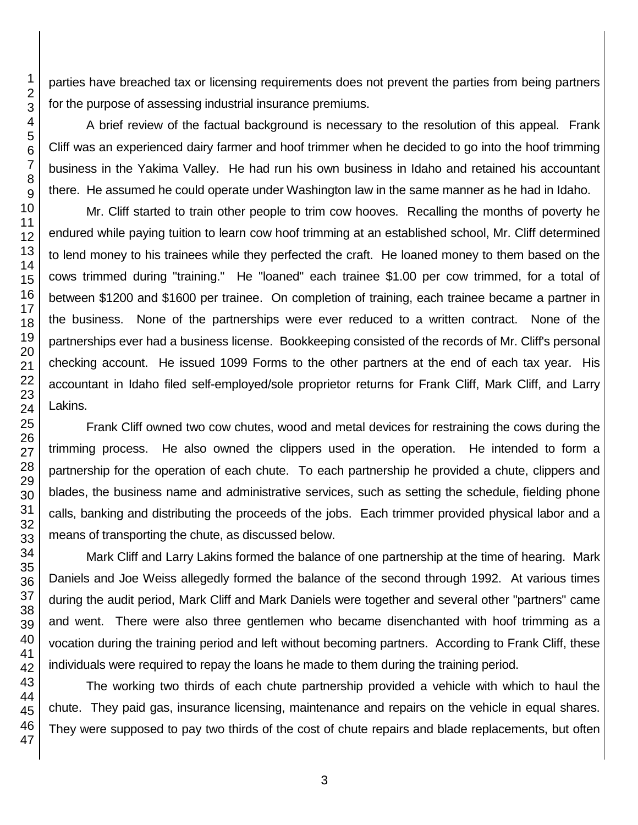parties have breached tax or licensing requirements does not prevent the parties from being partners for the purpose of assessing industrial insurance premiums.

A brief review of the factual background is necessary to the resolution of this appeal. Frank Cliff was an experienced dairy farmer and hoof trimmer when he decided to go into the hoof trimming business in the Yakima Valley. He had run his own business in Idaho and retained his accountant there. He assumed he could operate under Washington law in the same manner as he had in Idaho.

Mr. Cliff started to train other people to trim cow hooves. Recalling the months of poverty he endured while paying tuition to learn cow hoof trimming at an established school, Mr. Cliff determined to lend money to his trainees while they perfected the craft. He loaned money to them based on the cows trimmed during "training." He "loaned" each trainee \$1.00 per cow trimmed, for a total of between \$1200 and \$1600 per trainee. On completion of training, each trainee became a partner in the business. None of the partnerships were ever reduced to a written contract. None of the partnerships ever had a business license. Bookkeeping consisted of the records of Mr. Cliff's personal checking account. He issued 1099 Forms to the other partners at the end of each tax year. His accountant in Idaho filed self-employed/sole proprietor returns for Frank Cliff, Mark Cliff, and Larry Lakins.

Frank Cliff owned two cow chutes, wood and metal devices for restraining the cows during the trimming process. He also owned the clippers used in the operation. He intended to form a partnership for the operation of each chute. To each partnership he provided a chute, clippers and blades, the business name and administrative services, such as setting the schedule, fielding phone calls, banking and distributing the proceeds of the jobs. Each trimmer provided physical labor and a means of transporting the chute, as discussed below.

Mark Cliff and Larry Lakins formed the balance of one partnership at the time of hearing. Mark Daniels and Joe Weiss allegedly formed the balance of the second through 1992. At various times during the audit period, Mark Cliff and Mark Daniels were together and several other "partners" came and went. There were also three gentlemen who became disenchanted with hoof trimming as a vocation during the training period and left without becoming partners. According to Frank Cliff, these individuals were required to repay the loans he made to them during the training period.

The working two thirds of each chute partnership provided a vehicle with which to haul the chute. They paid gas, insurance licensing, maintenance and repairs on the vehicle in equal shares. They were supposed to pay two thirds of the cost of chute repairs and blade replacements, but often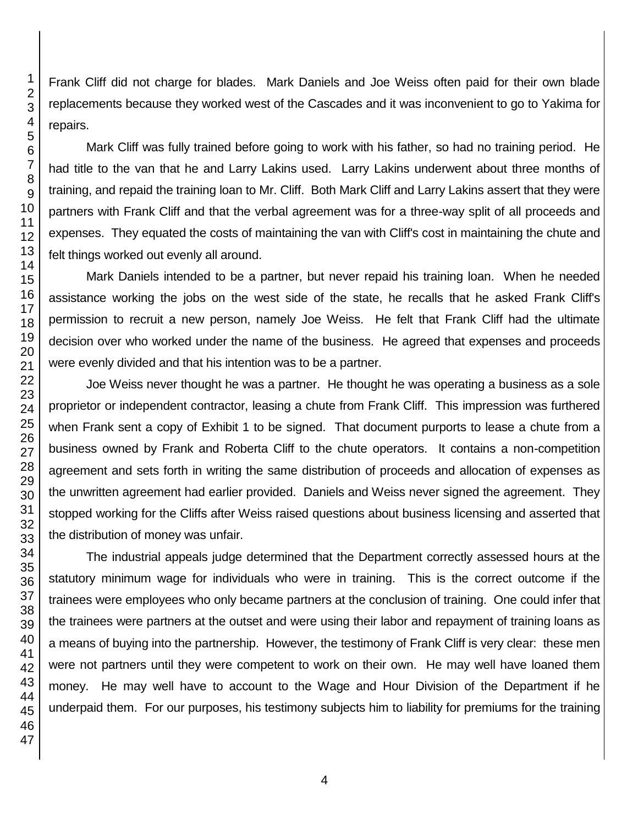Frank Cliff did not charge for blades. Mark Daniels and Joe Weiss often paid for their own blade replacements because they worked west of the Cascades and it was inconvenient to go to Yakima for repairs.

Mark Cliff was fully trained before going to work with his father, so had no training period. He had title to the van that he and Larry Lakins used. Larry Lakins underwent about three months of training, and repaid the training loan to Mr. Cliff. Both Mark Cliff and Larry Lakins assert that they were partners with Frank Cliff and that the verbal agreement was for a three-way split of all proceeds and expenses. They equated the costs of maintaining the van with Cliff's cost in maintaining the chute and felt things worked out evenly all around.

Mark Daniels intended to be a partner, but never repaid his training loan. When he needed assistance working the jobs on the west side of the state, he recalls that he asked Frank Cliff's permission to recruit a new person, namely Joe Weiss. He felt that Frank Cliff had the ultimate decision over who worked under the name of the business. He agreed that expenses and proceeds were evenly divided and that his intention was to be a partner.

Joe Weiss never thought he was a partner. He thought he was operating a business as a sole proprietor or independent contractor, leasing a chute from Frank Cliff. This impression was furthered when Frank sent a copy of Exhibit 1 to be signed. That document purports to lease a chute from a business owned by Frank and Roberta Cliff to the chute operators. It contains a non-competition agreement and sets forth in writing the same distribution of proceeds and allocation of expenses as the unwritten agreement had earlier provided. Daniels and Weiss never signed the agreement. They stopped working for the Cliffs after Weiss raised questions about business licensing and asserted that the distribution of money was unfair.

The industrial appeals judge determined that the Department correctly assessed hours at the statutory minimum wage for individuals who were in training. This is the correct outcome if the trainees were employees who only became partners at the conclusion of training. One could infer that the trainees were partners at the outset and were using their labor and repayment of training loans as a means of buying into the partnership. However, the testimony of Frank Cliff is very clear: these men were not partners until they were competent to work on their own. He may well have loaned them money. He may well have to account to the Wage and Hour Division of the Department if he underpaid them. For our purposes, his testimony subjects him to liability for premiums for the training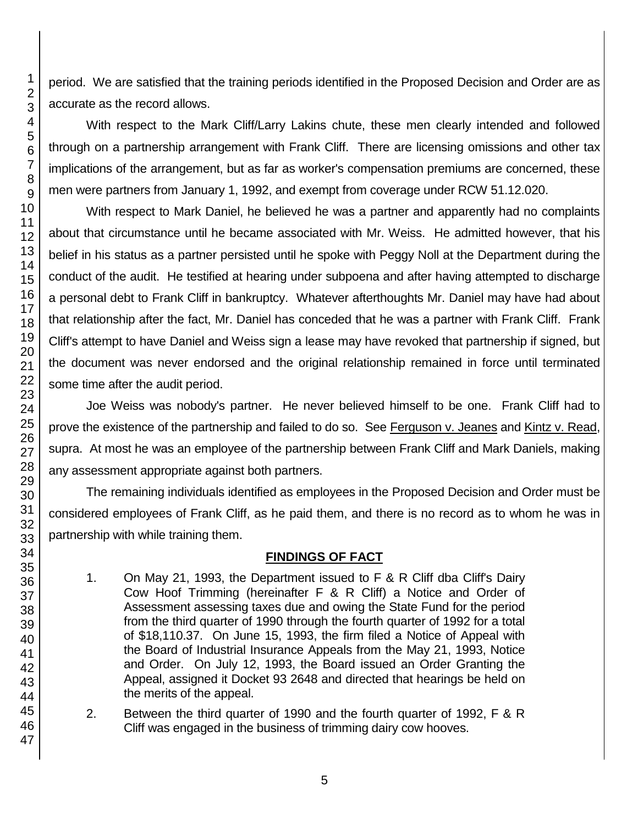period. We are satisfied that the training periods identified in the Proposed Decision and Order are as accurate as the record allows.

With respect to the Mark Cliff/Larry Lakins chute, these men clearly intended and followed through on a partnership arrangement with Frank Cliff. There are licensing omissions and other tax implications of the arrangement, but as far as worker's compensation premiums are concerned, these men were partners from January 1, 1992, and exempt from coverage under RCW 51.12.020.

With respect to Mark Daniel, he believed he was a partner and apparently had no complaints about that circumstance until he became associated with Mr. Weiss. He admitted however, that his belief in his status as a partner persisted until he spoke with Peggy Noll at the Department during the conduct of the audit. He testified at hearing under subpoena and after having attempted to discharge a personal debt to Frank Cliff in bankruptcy. Whatever afterthoughts Mr. Daniel may have had about that relationship after the fact, Mr. Daniel has conceded that he was a partner with Frank Cliff. Frank Cliff's attempt to have Daniel and Weiss sign a lease may have revoked that partnership if signed, but the document was never endorsed and the original relationship remained in force until terminated some time after the audit period.

Joe Weiss was nobody's partner. He never believed himself to be one. Frank Cliff had to prove the existence of the partnership and failed to do so. See Ferguson v. Jeanes and Kintz v. Read, supra. At most he was an employee of the partnership between Frank Cliff and Mark Daniels, making any assessment appropriate against both partners.

The remaining individuals identified as employees in the Proposed Decision and Order must be considered employees of Frank Cliff, as he paid them, and there is no record as to whom he was in partnership with while training them.

## **FINDINGS OF FACT**

- 1. On May 21, 1993, the Department issued to F & R Cliff dba Cliff's Dairy Cow Hoof Trimming (hereinafter F & R Cliff) a Notice and Order of Assessment assessing taxes due and owing the State Fund for the period from the third quarter of 1990 through the fourth quarter of 1992 for a total of \$18,110.37. On June 15, 1993, the firm filed a Notice of Appeal with the Board of Industrial Insurance Appeals from the May 21, 1993, Notice and Order. On July 12, 1993, the Board issued an Order Granting the Appeal, assigned it Docket 93 2648 and directed that hearings be held on the merits of the appeal.
- 2. Between the third quarter of 1990 and the fourth quarter of 1992, F & R Cliff was engaged in the business of trimming dairy cow hooves.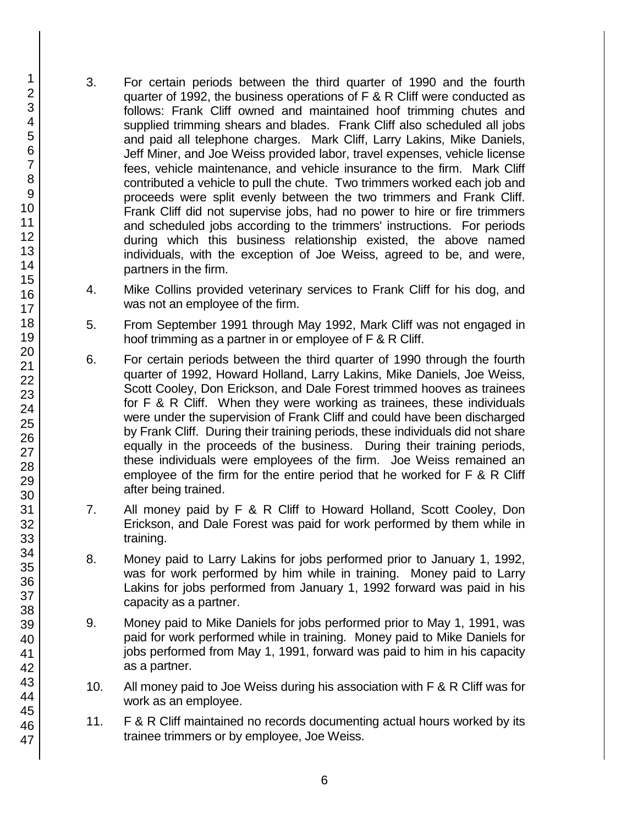- 3. For certain periods between the third quarter of 1990 and the fourth quarter of 1992, the business operations of F & R Cliff were conducted as follows: Frank Cliff owned and maintained hoof trimming chutes and supplied trimming shears and blades. Frank Cliff also scheduled all jobs and paid all telephone charges. Mark Cliff, Larry Lakins, Mike Daniels, Jeff Miner, and Joe Weiss provided labor, travel expenses, vehicle license fees, vehicle maintenance, and vehicle insurance to the firm. Mark Cliff contributed a vehicle to pull the chute. Two trimmers worked each job and proceeds were split evenly between the two trimmers and Frank Cliff. Frank Cliff did not supervise jobs, had no power to hire or fire trimmers and scheduled jobs according to the trimmers' instructions. For periods during which this business relationship existed, the above named individuals, with the exception of Joe Weiss, agreed to be, and were, partners in the firm.
- 4. Mike Collins provided veterinary services to Frank Cliff for his dog, and was not an employee of the firm.
- 5. From September 1991 through May 1992, Mark Cliff was not engaged in hoof trimming as a partner in or employee of F & R Cliff.
- 6. For certain periods between the third quarter of 1990 through the fourth quarter of 1992, Howard Holland, Larry Lakins, Mike Daniels, Joe Weiss, Scott Cooley, Don Erickson, and Dale Forest trimmed hooves as trainees for F & R Cliff. When they were working as trainees, these individuals were under the supervision of Frank Cliff and could have been discharged by Frank Cliff. During their training periods, these individuals did not share equally in the proceeds of the business. During their training periods, these individuals were employees of the firm. Joe Weiss remained an employee of the firm for the entire period that he worked for F & R Cliff after being trained.
- 7. All money paid by F & R Cliff to Howard Holland, Scott Cooley, Don Erickson, and Dale Forest was paid for work performed by them while in training.
- 8. Money paid to Larry Lakins for jobs performed prior to January 1, 1992, was for work performed by him while in training. Money paid to Larry Lakins for jobs performed from January 1, 1992 forward was paid in his capacity as a partner.
- 9. Money paid to Mike Daniels for jobs performed prior to May 1, 1991, was paid for work performed while in training. Money paid to Mike Daniels for jobs performed from May 1, 1991, forward was paid to him in his capacity as a partner.
- 10. All money paid to Joe Weiss during his association with F & R Cliff was for work as an employee.
- 11. F & R Cliff maintained no records documenting actual hours worked by its trainee trimmers or by employee, Joe Weiss.